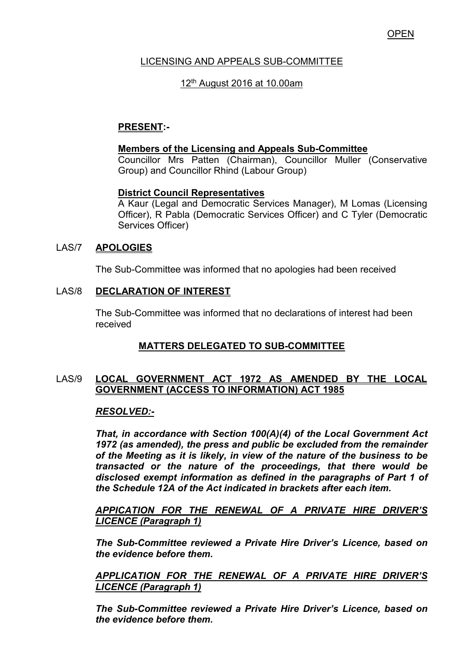### LICENSING AND APPEALS SUB-COMMITTEE

### 12th August 2016 at 10.00am

# **PRESENT:-**

#### **Members of the Licensing and Appeals Sub-Committee**

 Councillor Mrs Patten (Chairman), Councillor Muller (Conservative Group) and Councillor Rhind (Labour Group)

#### **District Council Representatives**

 A Kaur (Legal and Democratic Services Manager), M Lomas (Licensing Officer), R Pabla (Democratic Services Officer) and C Tyler (Democratic Services Officer)

### LAS/7 **APOLOGIES**

The Sub-Committee was informed that no apologies had been received

#### LAS/8 **DECLARATION OF INTEREST**

 The Sub-Committee was informed that no declarations of interest had been received

# **MATTERS DELEGATED TO SUB-COMMITTEE**

### LAS/9 **LOCAL GOVERNMENT ACT 1972 AS AMENDED BY THE LOCAL GOVERNMENT (ACCESS TO INFORMATION) ACT 1985**

#### *RESOLVED:-*

*That, in accordance with Section 100(A)(4) of the Local Government Act 1972 (as amended), the press and public be excluded from the remainder of the Meeting as it is likely, in view of the nature of the business to be transacted or the nature of the proceedings, that there would be disclosed exempt information as defined in the paragraphs of Part 1 of the Schedule 12A of the Act indicated in brackets after each item.* 

*APPICATION FOR THE RENEWAL OF A PRIVATE HIRE DRIVER'S LICENCE (Paragraph 1)* 

*The Sub-Committee reviewed a Private Hire Driver's Licence, based on the evidence before them.* 

*APPLICATION FOR THE RENEWAL OF A PRIVATE HIRE DRIVER'S LICENCE (Paragraph 1)* 

*The Sub-Committee reviewed a Private Hire Driver's Licence, based on the evidence before them.*